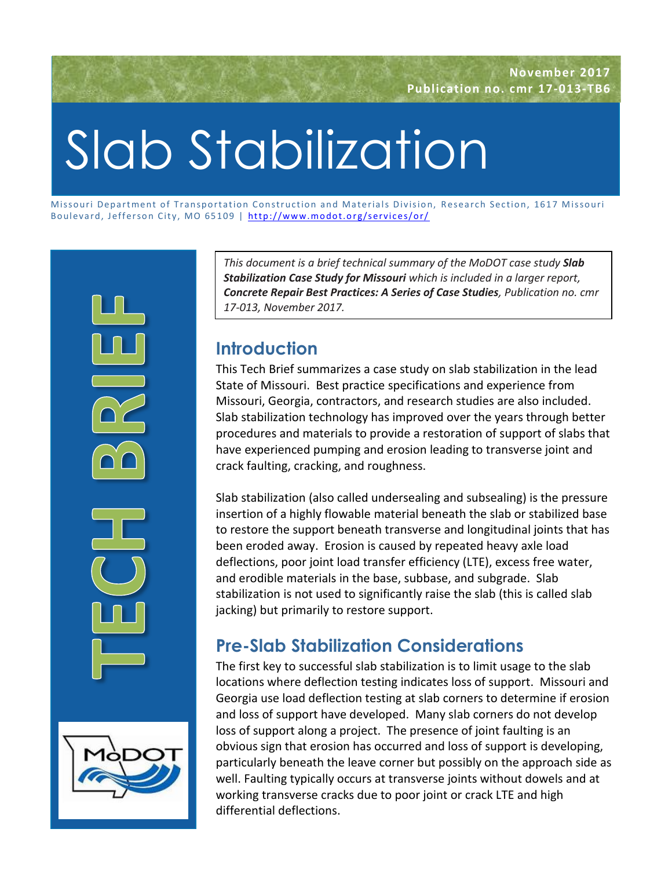# Slab Stabilization

Missouri Department of Transportation Construction and Materials Division, Research Section, 1617 Missouri Boulevard, Jefferson City, MO 65109 | http://www.modot.org/services/or/



*This document is a brief technical summary of the MoDOT case study Slab Stabilization Case Study for Missouri which is included in a larger report, Concrete Repair Best Practices: A Series of Case Studies, Publication no. cmr 17-013, November 2017.*

## **Introduction**

This Tech Brief summarizes a case study on slab stabilization in the lead State of Missouri. Best practice specifications and experience from Missouri, Georgia, contractors, and research studies are also included. Slab stabilization technology has improved over the years through better procedures and materials to provide a restoration of support of slabs that have experienced pumping and erosion leading to transverse joint and crack faulting, cracking, and roughness.

Slab stabilization (also called undersealing and subsealing) is the pressure insertion of a highly flowable material beneath the slab or stabilized base to restore the support beneath transverse and longitudinal joints that has been eroded away. Erosion is caused by repeated heavy axle load deflections, poor joint load transfer efficiency (LTE), excess free water, and erodible materials in the base, subbase, and subgrade. Slab stabilization is not used to significantly raise the slab (this is called slab jacking) but primarily to restore support.

# **Pre-Slab Stabilization Considerations**

The first key to successful slab stabilization is to limit usage to the slab locations where deflection testing indicates loss of support. Missouri and Georgia use load deflection testing at slab corners to determine if erosion and loss of support have developed. Many slab corners do not develop loss of support along a project. The presence of joint faulting is an obvious sign that erosion has occurred and loss of support is developing, particularly beneath the leave corner but possibly on the approach side as well. Faulting typically occurs at transverse joints without dowels and at working transverse cracks due to poor joint or crack LTE and high differential deflections.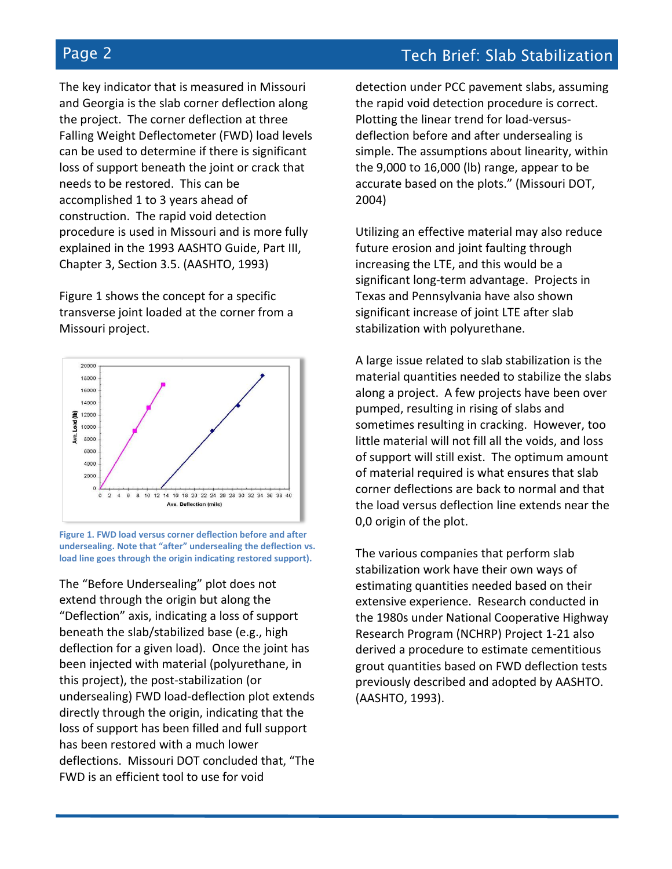The key indicator that is measured in Missouri and Georgia is the slab corner deflection along the project. The corner deflection at three Falling Weight Deflectometer (FWD) load levels can be used to determine if there is significant loss of support beneath the joint or crack that needs to be restored. This can be accomplished 1 to 3 years ahead of construction. The rapid void detection procedure is used in Missouri and is more fully explained in the 1993 AASHTO Guide, Part III, Chapter 3, Section 3.5. (AASHTO, 1993)

Figure 1 shows the concept for a specific transverse joint loaded at the corner from a Missouri project.



**Figure 1. FWD load versus corner deflection before and after undersealing. Note that "after" undersealing the deflection vs. load line goes through the origin indicating restored support).**

The "Before Undersealing" plot does not extend through the origin but along the "Deflection" axis, indicating a loss of support beneath the slab/stabilized base (e.g., high deflection for a given load). Once the joint has been injected with material (polyurethane, in this project), the post-stabilization (or undersealing) FWD load-deflection plot extends directly through the origin, indicating that the loss of support has been filled and full support has been restored with a much lower deflections. Missouri DOT concluded that, "The FWD is an efficient tool to use for void

detection under PCC pavement slabs, assuming the rapid void detection procedure is correct. Plotting the linear trend for load-versusdeflection before and after undersealing is simple. The assumptions about linearity, within the 9,000 to 16,000 (lb) range, appear to be accurate based on the plots." (Missouri DOT, 2004)

Utilizing an effective material may also reduce future erosion and joint faulting through increasing the LTE, and this would be a significant long-term advantage. Projects in Texas and Pennsylvania have also shown significant increase of joint LTE after slab stabilization with polyurethane.

A large issue related to slab stabilization is the material quantities needed to stabilize the slabs along a project. A few projects have been over pumped, resulting in rising of slabs and sometimes resulting in cracking. However, too little material will not fill all the voids, and loss of support will still exist. The optimum amount of material required is what ensures that slab corner deflections are back to normal and that the load versus deflection line extends near the 0,0 origin of the plot.

The various companies that perform slab stabilization work have their own ways of estimating quantities needed based on their extensive experience. Research conducted in the 1980s under National Cooperative Highway Research Program (NCHRP) Project 1-21 also derived a procedure to estimate cementitious grout quantities based on FWD deflection tests previously described and adopted by AASHTO. (AASHTO, 1993).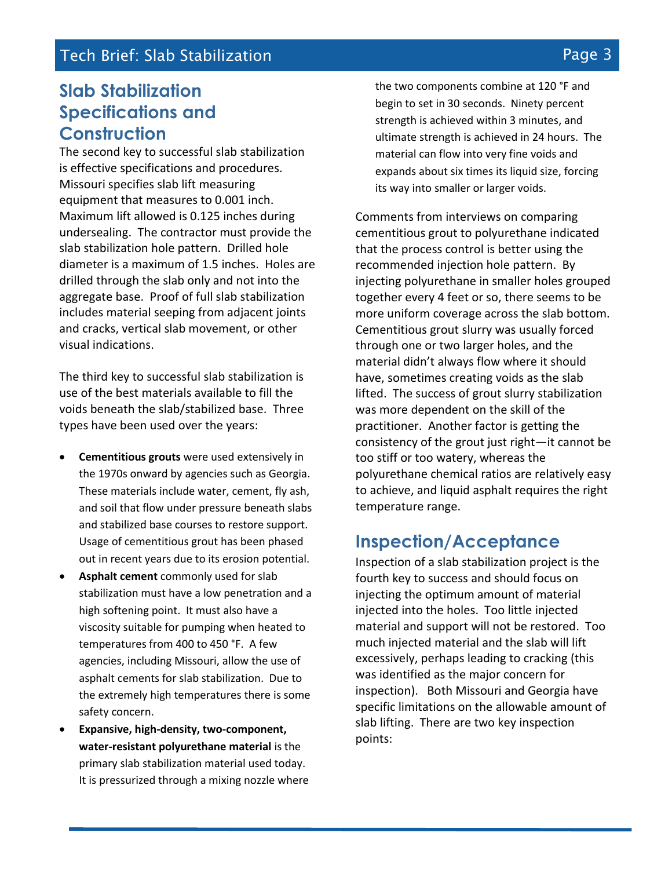#### **Tech Brief: Slab Stabilization Page 3** and the page 3

## **Slab Stabilization Specifications and Construction**

The second key to successful slab stabilization is effective specifications and procedures. Missouri specifies slab lift measuring equipment that measures to 0.001 inch. Maximum lift allowed is 0.125 inches during undersealing. The contractor must provide the slab stabilization hole pattern. Drilled hole diameter is a maximum of 1.5 inches. Holes are drilled through the slab only and not into the aggregate base. Proof of full slab stabilization includes material seeping from adjacent joints and cracks, vertical slab movement, or other visual indications.

The third key to successful slab stabilization is use of the best materials available to fill the voids beneath the slab/stabilized base. Three types have been used over the years:

- **Cementitious grouts** were used extensively in the 1970s onward by agencies such as Georgia. These materials include water, cement, fly ash, and soil that flow under pressure beneath slabs and stabilized base courses to restore support. Usage of cementitious grout has been phased out in recent years due to its erosion potential.
- **Asphalt cement** commonly used for slab stabilization must have a low penetration and a high softening point. It must also have a viscosity suitable for pumping when heated to temperatures from 400 to 450 °F. A few agencies, including Missouri, allow the use of asphalt cements for slab stabilization. Due to the extremely high temperatures there is some safety concern.
- **Expansive, high-density, two-component, water-resistant polyurethane material** is the primary slab stabilization material used today. It is pressurized through a mixing nozzle where

the two components combine at 120 °F and begin to set in 30 seconds. Ninety percent strength is achieved within 3 minutes, and ultimate strength is achieved in 24 hours. The material can flow into very fine voids and expands about six times its liquid size, forcing its way into smaller or larger voids.

Comments from interviews on comparing cementitious grout to polyurethane indicated that the process control is better using the recommended injection hole pattern. By injecting polyurethane in smaller holes grouped together every 4 feet or so, there seems to be more uniform coverage across the slab bottom. Cementitious grout slurry was usually forced through one or two larger holes, and the material didn't always flow where it should have, sometimes creating voids as the slab lifted. The success of grout slurry stabilization was more dependent on the skill of the practitioner. Another factor is getting the consistency of the grout just right—it cannot be too stiff or too watery, whereas the polyurethane chemical ratios are relatively easy to achieve, and liquid asphalt requires the right temperature range.

#### **Inspection/Acceptance**

Inspection of a slab stabilization project is the fourth key to success and should focus on injecting the optimum amount of material injected into the holes. Too little injected material and support will not be restored. Too much injected material and the slab will lift excessively, perhaps leading to cracking (this was identified as the major concern for inspection). Both Missouri and Georgia have specific limitations on the allowable amount of slab lifting. There are two key inspection points: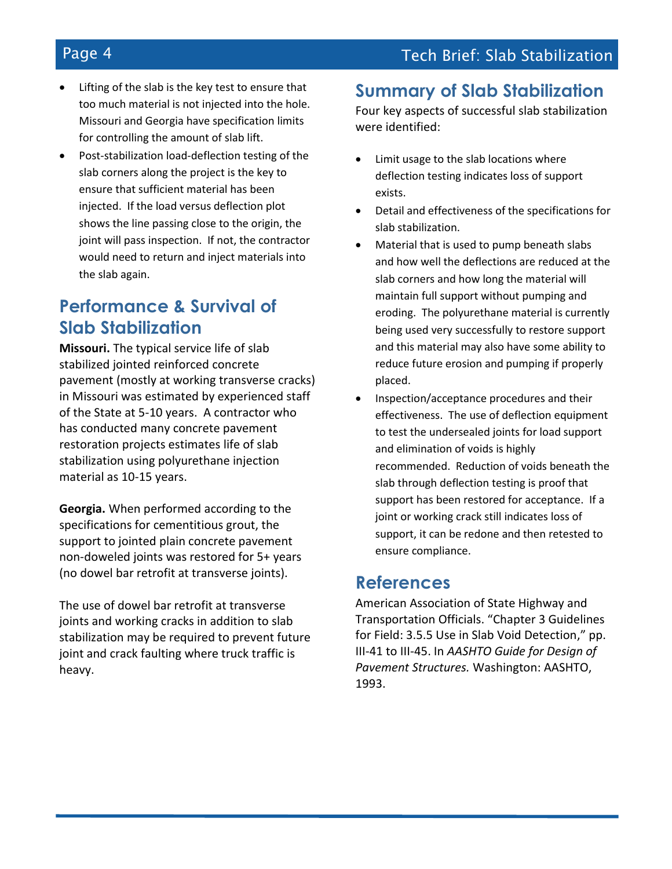- Lifting of the slab is the key test to ensure that too much material is not injected into the hole. Missouri and Georgia have specification limits for controlling the amount of slab lift.
- Post-stabilization load-deflection testing of the slab corners along the project is the key to ensure that sufficient material has been injected. If the load versus deflection plot shows the line passing close to the origin, the joint will pass inspection. If not, the contractor would need to return and inject materials into the slab again.

### **Performance & Survival of Slab Stabilization**

**Missouri.** The typical service life of slab stabilized jointed reinforced concrete pavement (mostly at working transverse cracks) in Missouri was estimated by experienced staff of the State at 5-10 years. A contractor who has conducted many concrete pavement restoration projects estimates life of slab stabilization using polyurethane injection material as 10-15 years.

**Georgia.** When performed according to the specifications for cementitious grout, the support to jointed plain concrete pavement non-doweled joints was restored for 5+ years (no dowel bar retrofit at transverse joints).

The use of dowel bar retrofit at transverse joints and working cracks in addition to slab stabilization may be required to prevent future joint and crack faulting where truck traffic is heavy.

#### **Summary of Slab Stabilization**

Four key aspects of successful slab stabilization were identified:

- Limit usage to the slab locations where deflection testing indicates loss of support exists.
- Detail and effectiveness of the specifications for slab stabilization.
- Material that is used to pump beneath slabs and how well the deflections are reduced at the slab corners and how long the material will maintain full support without pumping and eroding. The polyurethane material is currently being used very successfully to restore support and this material may also have some ability to reduce future erosion and pumping if properly placed.
- Inspection/acceptance procedures and their effectiveness. The use of deflection equipment to test the undersealed joints for load support and elimination of voids is highly recommended. Reduction of voids beneath the slab through deflection testing is proof that support has been restored for acceptance. If a joint or working crack still indicates loss of support, it can be redone and then retested to ensure compliance.

#### **References**

American Association of State Highway and Transportation Officials. "Chapter 3 Guidelines for Field: 3.5.5 Use in Slab Void Detection," pp. III-41 to III-45. In *AASHTO Guide for Design of Pavement Structures.* Washington: AASHTO, 1993.